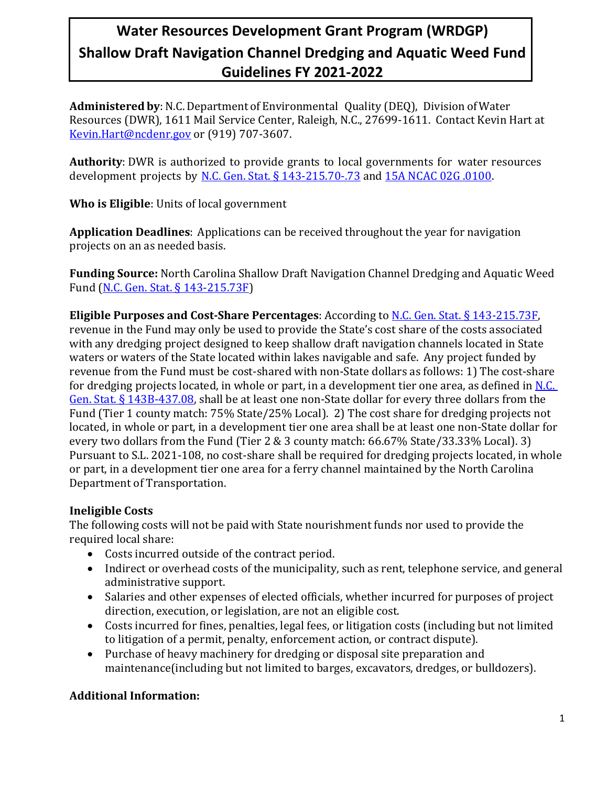**Administered by**: N.C.Department of Environmental Quality (DEQ), Division ofWater Resources (DWR), 1611 Mail Service Center, Raleigh, N.C., 27699-1611. Contact Kevin Hart at [Kevin.Hart@ncdenr.gov](mailto:Kevin.Hart@ncdenr.gov) or (919) 707-3607.

**Authority**: DWR is authorized to provide grants to local governments for water resources development projects by [N.C. Gen. Stat. § 143-215.70-.73](http://www.ncleg.net/gascripts/Statutes/StatutesTOC.pl?Chapter=0143) and [15A NCAC 02G .0100.](http://reports.oah.state.nc.us/ncac/title%2015a%20-%20environmental%20quality/chapter%2002%20-%20environmental%20management/subchapter%20g/subchapter%20g%20rules.pdf) 

**Who is Eligible**: Units of local government

**Application Deadlines**: Applications can be received throughout the year for navigation projects on an as needed basis.

**Funding Source:** North Carolina Shallow Draft Navigation Channel Dredging and Aquatic Weed Fund [\(N.C. Gen. Stat. §](https://www.ncleg.net/EnactedLegislation/Statutes/PDF/BySection/Chapter_143/GS_143-215.73F.pdf) 143-215.73F)

**Eligible Purposes and Cost-Share Percentages**: According t[o N.C. Gen. Stat. §](https://www.ncleg.net/EnactedLegislation/Statutes/PDF/BySection/Chapter_143/GS_143-215.73F.pdf) 143-215.73F, revenue in the Fund may only be used to provide the State's cost share of the costs associated with any dredging project designed to keep shallow draft navigation channels located in State waters or waters of the State located within lakes navigable and safe. Any project funded by revenue from the Fund must be cost-shared with non-State dollars as follows: 1) The cost-share for dredging projects located, in whole or part, in a development tier one area, as defined in [N.C.](https://www.ncleg.net/EnactedLegislation/Statutes/HTML/BySection/Chapter_143B/GS_143B-437.08.html)  Gen. Stat. § [143B-437.08,](https://www.ncleg.net/EnactedLegislation/Statutes/HTML/BySection/Chapter_143B/GS_143B-437.08.html) shall be at least one non-State dollar for every three dollars from the Fund (Tier 1 county match: 75% State/25% Local). 2) The cost share for dredging projects not located, in whole or part, in a development tier one area shall be at least one non-State dollar for every two dollars from the Fund (Tier 2 & 3 county match: 66.67% State/33.33% Local). 3) Pursuant to S.L. 2021-108, no cost-share shall be required for dredging projects located, in whole or part, in a development tier one area for a ferry channel maintained by the North Carolina Department of Transportation.

### **Ineligible Costs**

The following costs will not be paid with State nourishment funds nor used to provide the required local share:

- Costs incurred outside of the contract period.
- Indirect or overhead costs of the municipality, such as rent, telephone service, and general administrative support.
- Salaries and other expenses of elected officials, whether incurred for purposes of project direction, execution, or legislation, are not an eligible cost.
- Costs incurred for fines, penalties, legal fees, or litigation costs (including but not limited to litigation of a permit, penalty, enforcement action, or contract dispute).
- Purchase of heavy machinery for dredging or disposal site preparation and maintenance(including but not limited to barges, excavators, dredges, or bulldozers).

### **Additional Information:**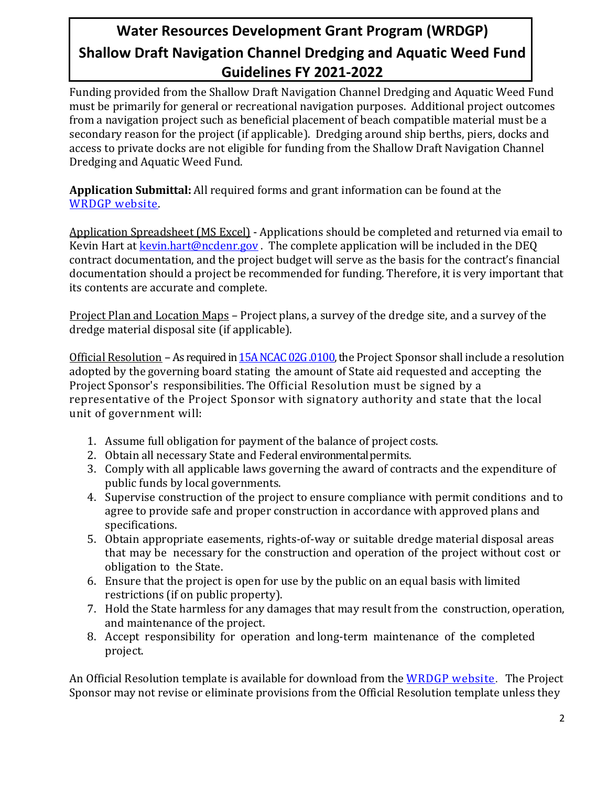Funding provided from the Shallow Draft Navigation Channel Dredging and Aquatic Weed Fund must be primarily for general or recreational navigation purposes. Additional project outcomes from a navigation project such as beneficial placement of beach compatible material must be a secondary reason for the project (if applicable). Dredging around ship berths, piers, docks and access to private docks are not eligible for funding from the Shallow Draft Navigation Channel Dredging and Aquatic Weed Fund.

**Application Submittal:** All required forms and grant information can be found at the [WRDGP website.](https://deq.nc.gov/about/divisions/water-resources/water-resources-grants/financial-assistance)

Application Spreadsheet (MS Excel) - Applications should be completed and returned via email to Kevin Hart at  $k$ evin.hart@ncdenr.gov. The complete application will be included in the DEQ contract documentation, and the project budget will serve as the basis for the contract's financial documentation should a project be recommended for funding. Therefore, it is very important that its contents are accurate and complete.

Project Plan and Location Maps – Project plans, a survey of the dredge site, and a survey of the dredge material disposal site (if applicable).

Official Resolution – As required i[n 15A NCAC 02G .0100,](http://reports.oah.state.nc.us/ncac/title%2015a%20-%20environmental%20quality/chapter%2002%20-%20environmental%20management/subchapter%20g/subchapter%20g%20rules.pdf) the Project Sponsor shall include a resolution adopted by the governing board stating the amount of State aid requested and accepting the Project Sponsor's responsibilities. The Official Resolution must be signed by a representative of the Project Sponsor with signatory authority and state that the local unit of government will:

- 1. Assume full obligation for payment of the balance of project costs.
- 2. Obtain all necessary State and Federal environmentalpermits.
- 3. Comply with all applicable laws governing the award of contracts and the expenditure of public funds by local governments.
- 4. Supervise construction of the project to ensure compliance with permit conditions and to agree to provide safe and proper construction in accordance with approved plans and specifications.
- 5. Obtain appropriate easements, rights-of-way or suitable dredge material disposal areas that may be necessary for the construction and operation of the project without cost or obligation to the State.
- 6. Ensure that the project is open for use by the public on an equal basis with limited restrictions (if on public property).
- 7. Hold the State harmless for any damages that may result from the construction, operation, and maintenance of the project.
- 8. Accept responsibility for operation and long-term maintenance of the completed project.

An Official Resolution template is available for download from the [WRDGP website](https://deq.nc.gov/about/divisions/water-resources/water-resources-grants/financial-assistance). The Project Sponsor may not revise or eliminate provisions from the Official Resolution template unless they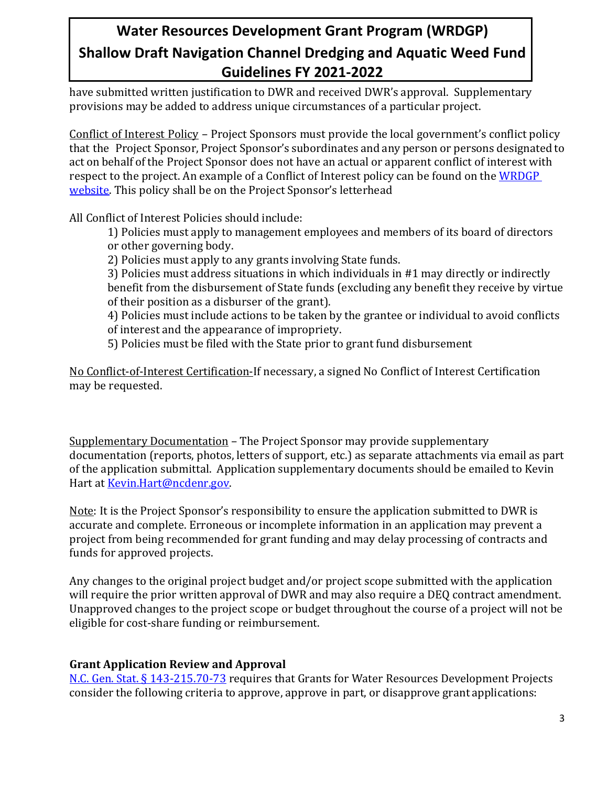have submitted written justification to DWR and received DWR's approval. Supplementary provisions may be added to address unique circumstances of a particular project.

Conflict of Interest Policy – Project Sponsors must provide the local government's conflict policy that the Project Sponsor, Project Sponsor's subordinates and any person or persons designated to act on behalf of the Project Sponsor does not have an actual or apparent conflict of interest with respect to the project. An example of a Conflict of Interest policy can be found on the [WRDGP](https://deq.nc.gov/about/divisions/water-resources/water-resources-grants/financial-assistance)  [website.](https://deq.nc.gov/about/divisions/water-resources/water-resources-grants/financial-assistance) This policy shall be on the Project Sponsor's letterhead

All Conflict of Interest Policies should include:

1) Policies must apply to management employees and members of its board of directors or other governing body.

2) Policies must apply to any grants involving State funds.

3) Policies must address situations in which individuals in #1 may directly or indirectly benefit from the disbursement of State funds (excluding any benefit they receive by virtue of their position as a disburser of the grant).

4) Policies must include actions to be taken by the grantee or individual to avoid conflicts of interest and the appearance of impropriety.

5) Policies must be filed with the State prior to grant fund disbursement

No Conflict-of-Interest Certification-If necessary, a signed No Conflict of Interest Certification may be requested.

Supplementary Documentation – The Project Sponsor may provide supplementary documentation (reports, photos, letters of support, etc.) as separate attachments via email as part of the application submittal. Application supplementary documents should be emailed to Kevin Hart at [Kevin.](mailto:coley.cordeiro@ncdenr.gov)Hart@ncdenr.gov.

Note: It is the Project Sponsor's responsibility to ensure the application submitted to DWR is accurate and complete. Erroneous or incomplete information in an application may prevent a project from being recommended for grant funding and may delay processing of contracts and funds for approved projects.

Any changes to the original project budget and/or project scope submitted with the application will require the prior written approval of DWR and may also require a DEQ contract amendment. Unapproved changes to the project scope or budget throughout the course of a project will not be eligible for cost-share funding or reimbursement.

### **Grant Application Review and Approval**

[N.C. Gen. Stat. §](http://www.ncleg.net/gascripts/Statutes/StatutesTOC.pl?Chapter=0143) 143-215.70-73 requires that Grants for Water Resources Development Projects consider the following criteria to approve, approve in part, or disapprove grant applications: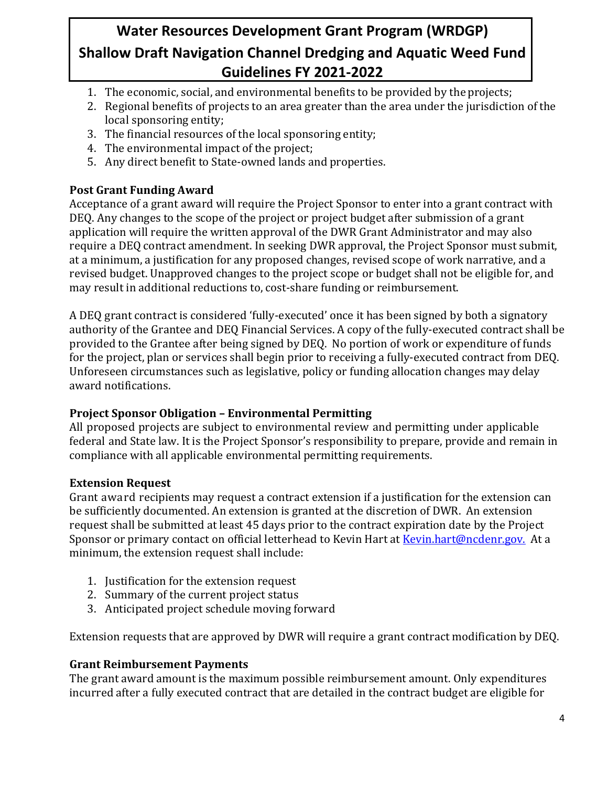- 1. The economic, social, and environmental benefits to be provided by the projects;
- 2. Regional benefits of projects to an area greater than the area under the jurisdiction of the local sponsoring entity;
- 3. The financial resources of the local sponsoring entity;
- 4. The environmental impact of the project;
- 5. Any direct benefit to State-owned lands and properties.

### **Post Grant Funding Award**

Acceptance of a grant award will require the Project Sponsor to enter into a grant contract with DEQ. Any changes to the scope of the project or project budget after submission of a grant application will require the written approval of the DWR Grant Administrator and may also require a DEQ contract amendment. In seeking DWR approval, the Project Sponsor must submit, at a minimum, a justification for any proposed changes, revised scope of work narrative, and a revised budget. Unapproved changes to the project scope or budget shall not be eligible for, and may result in additional reductions to, cost-share funding or reimbursement.

A DEQ grant contract is considered 'fully-executed' once it has been signed by both a signatory authority of the Grantee and DEQ Financial Services. A copy of the fully-executed contract shall be provided to the Grantee after being signed by DEQ. No portion of work or expenditure of funds for the project, plan or services shall begin prior to receiving a fully-executed contract from DEQ. Unforeseen circumstances such as legislative, policy or funding allocation changes may delay award notifications.

#### **Project Sponsor Obligation – Environmental Permitting**

All proposed projects are subject to environmental review and permitting under applicable federal and State law. It is the Project Sponsor's responsibility to prepare, provide and remain in compliance with all applicable environmental permitting requirements.

#### **Extension Request**

Grant award recipients may request a contract extension if a justification for the extension can be sufficiently documented. An extension is granted at the discretion of DWR. An extension request shall be submitted at least 45 days prior to the contract expiration date by the Project Sponsor or primary contact on official letterhead to Kevin Hart at [Kevin.hart@ncdenr.gov.](mailto:coley.cordeiro@ncdenr.gov) At a minimum, the extension request shall include:

- 1. Justification for the extension request
- 2. Summary of the current project status
- 3. Anticipated project schedule moving forward

Extension requests that are approved by DWR will require a grant contract modification by DEQ.

#### **Grant Reimbursement Payments**

The grant award amount is the maximum possible reimbursement amount. Only expenditures incurred after a fully executed contract that are detailed in the contract budget are eligible for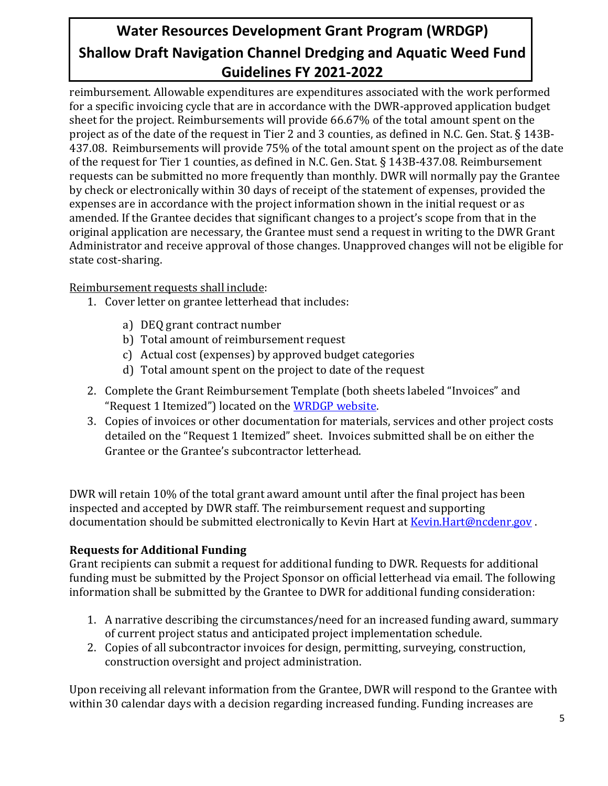reimbursement. Allowable expenditures are expenditures associated with the work performed for a specific invoicing cycle that are in accordance with the DWR-approved application budget sheet for the project. Reimbursements will provide 66.67% of the total amount spent on the project as of the date of the request in Tier 2 and 3 counties, as defined in N.C. Gen. Stat. § 143B-437.08. Reimbursements will provide 75% of the total amount spent on the project as of the date of the request for Tier 1 counties, as defined in N.C. Gen. Stat. § 143B-437.08. Reimbursement requests can be submitted no more frequently than monthly. DWR will normally pay the Grantee by check or electronically within 30 days of receipt of the statement of expenses, provided the expenses are in accordance with the project information shown in the initial request or as amended. If the Grantee decides that significant changes to a project's scope from that in the original application are necessary, the Grantee must send a request in writing to the DWR Grant Administrator and receive approval of those changes. Unapproved changes will not be eligible for state cost-sharing.

Reimbursement requests shall include:

- 1. Cover letter on grantee letterhead that includes:
	- a) DEQ grant contract number
	- b) Total amount of reimbursement request
	- c) Actual cost (expenses) by approved budget categories
	- d) Total amount spent on the project to date of the request
- 2. Complete the Grant Reimbursement Template (both sheets labeled "Invoices" and "Request 1 Itemized") located on th[e WRDGP website.](https://deq.nc.gov/about/divisions/water-resources/water-resources-grants/financial-assistance)
- 3. Copies of invoices or other documentation for materials, services and other project costs detailed on the "Request 1 Itemized" sheet. Invoices submitted shall be on either the Grantee or the Grantee's subcontractor letterhead.

DWR will retain 10% of the total grant award amount until after the final project has been inspected and accepted by DWR staff. The reimbursement request and supporting documentation should be submitted electronically to Kevin Hart at [Kevin.Hart@ncdenr.gov](mailto:Kevin.Hart@ncdenr.gov).

#### **Requests for Additional Funding**

Grant recipients can submit a request for additional funding to DWR. Requests for additional funding must be submitted by the Project Sponsor on official letterhead via email. The following information shall be submitted by the Grantee to DWR for additional funding consideration:

- 1. A narrative describing the circumstances/need for an increased funding award, summary of current project status and anticipated project implementation schedule.
- 2. Copies of all subcontractor invoices for design, permitting, surveying, construction, construction oversight and project administration.

Upon receiving all relevant information from the Grantee, DWR will respond to the Grantee with within 30 calendar days with a decision regarding increased funding. Funding increases are